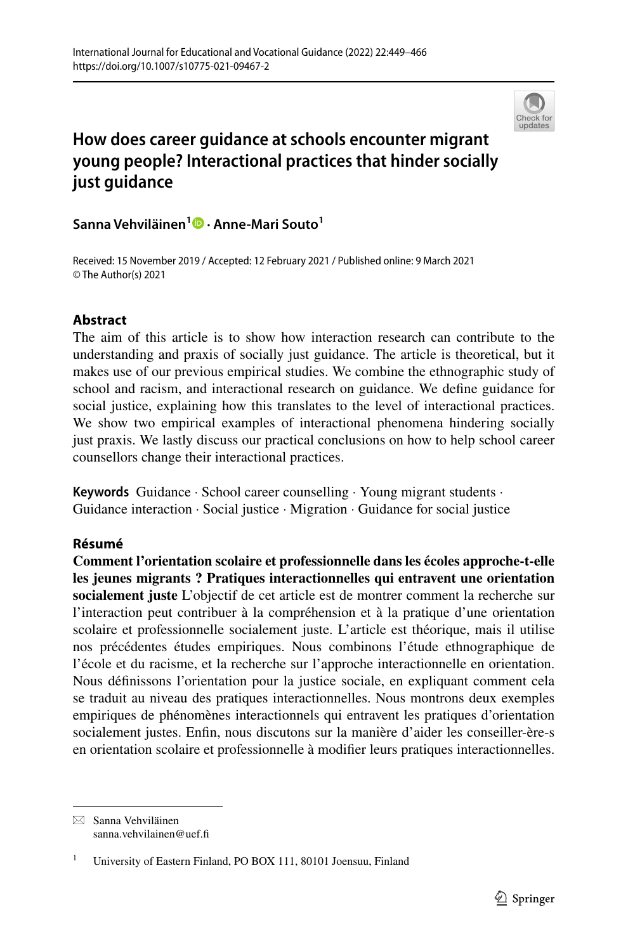

# **How does career guidance at schools encounter migrant young people? Interactional practices that hinder socially just guidance**

**Sanna Vehviläinen1  [·](http://orcid.org/0000-0003-3698-2061) Anne‑Mari Souto<sup>1</sup>**

Received: 15 November 2019 / Accepted: 12 February 2021 / Published online: 9 March 2021 © The Author(s) 2021

## **Abstract**

The aim of this article is to show how interaction research can contribute to the understanding and praxis of socially just guidance. The article is theoretical, but it makes use of our previous empirical studies. We combine the ethnographic study of school and racism, and interactional research on guidance. We defne guidance for social justice, explaining how this translates to the level of interactional practices. We show two empirical examples of interactional phenomena hindering socially just praxis. We lastly discuss our practical conclusions on how to help school career counsellors change their interactional practices.

**Keywords** Guidance · School career counselling · Young migrant students · Guidance interaction · Social justice · Migration · Guidance for social justice

## **Résumé**

**Comment l'orientation scolaire et professionnelle dans les écoles approche-t-elle les jeunes migrants ? Pratiques interactionnelles qui entravent une orientation socialement juste** L'objectif de cet article est de montrer comment la recherche sur l'interaction peut contribuer à la compréhension et à la pratique d'une orientation scolaire et professionnelle socialement juste. L'article est théorique, mais il utilise nos précédentes études empiriques. Nous combinons l'étude ethnographique de l'école et du racisme, et la recherche sur l'approche interactionnelle en orientation. Nous défnissons l'orientation pour la justice sociale, en expliquant comment cela se traduit au niveau des pratiques interactionnelles. Nous montrons deux exemples empiriques de phénomènes interactionnels qui entravent les pratiques d'orientation socialement justes. Enfn, nous discutons sur la manière d'aider les conseiller-ère-s en orientation scolaire et professionnelle à modifer leurs pratiques interactionnelles.

 $\boxtimes$  Sanna Vehviläinen sanna.vehvilainen@uef.f

<sup>1</sup> University of Eastern Finland, PO BOX 111, 80101 Joensuu, Finland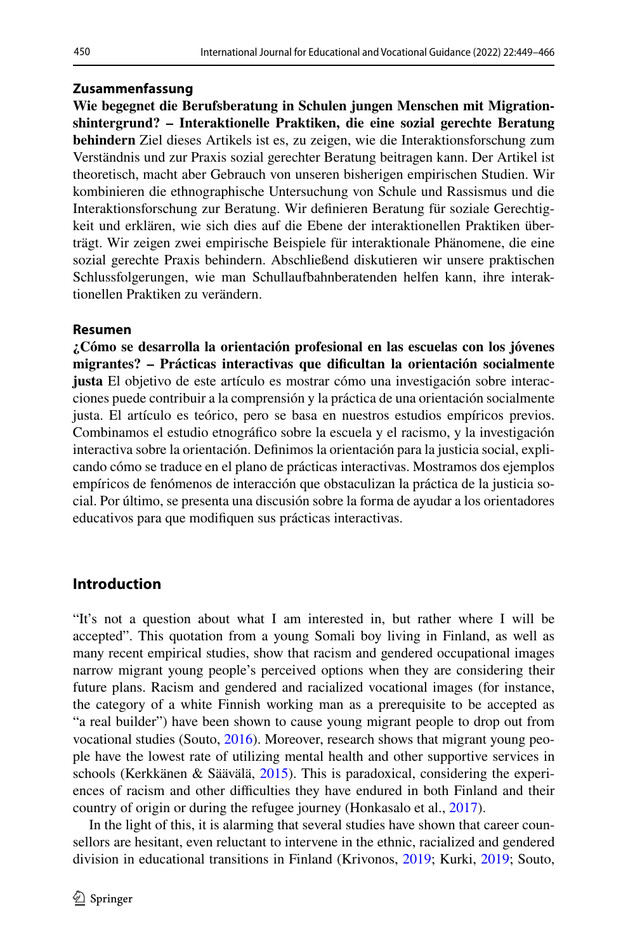### **Zusammenfassung**

**Wie begegnet die Berufsberatung in Schulen jungen Menschen mit Migrationshintergrund? – Interaktionelle Praktiken, die eine sozial gerechte Beratung behindern** Ziel dieses Artikels ist es, zu zeigen, wie die Interaktionsforschung zum Verständnis und zur Praxis sozial gerechter Beratung beitragen kann. Der Artikel ist theoretisch, macht aber Gebrauch von unseren bisherigen empirischen Studien. Wir kombinieren die ethnographische Untersuchung von Schule und Rassismus und die Interaktionsforschung zur Beratung. Wir defnieren Beratung für soziale Gerechtigkeit und erklären, wie sich dies auf die Ebene der interaktionellen Praktiken überträgt. Wir zeigen zwei empirische Beispiele für interaktionale Phänomene, die eine sozial gerechte Praxis behindern. Abschließend diskutieren wir unsere praktischen Schlussfolgerungen, wie man Schullaufbahnberatenden helfen kann, ihre interaktionellen Praktiken zu verändern.

#### **Resumen**

**¿Cómo se desarrolla la orientación profesional en las escuelas con los jóvenes migrantes? – Prácticas interactivas que difcultan la orientación socialmente justa** El objetivo de este artículo es mostrar cómo una investigación sobre interacciones puede contribuir a la comprensión y la práctica de una orientación socialmente justa. El artículo es teórico, pero se basa en nuestros estudios empíricos previos. Combinamos el estudio etnográfco sobre la escuela y el racismo, y la investigación interactiva sobre la orientación. Defnimos la orientación para la justicia social, explicando cómo se traduce en el plano de prácticas interactivas. Mostramos dos ejemplos empíricos de fenómenos de interacción que obstaculizan la práctica de la justicia social. Por último, se presenta una discusión sobre la forma de ayudar a los orientadores educativos para que modifquen sus prácticas interactivas.

## **Introduction**

"It's not a question about what I am interested in, but rather where I will be accepted". This quotation from a young Somali boy living in Finland, as well as many recent empirical studies, show that racism and gendered occupational images narrow migrant young people's perceived options when they are considering their future plans. Racism and gendered and racialized vocational images (for instance, the category of a white Finnish working man as a prerequisite to be accepted as "a real builder") have been shown to cause young migrant people to drop out from vocational studies (Souto, [2016\)](#page-16-0). Moreover, research shows that migrant young people have the lowest rate of utilizing mental health and other supportive services in schools (Kerkkänen & Säävälä, [2015\)](#page-15-0). This is paradoxical, considering the experiences of racism and other difficulties they have endured in both Finland and their country of origin or during the refugee journey (Honkasalo et al., [2017](#page-15-1)).

In the light of this, it is alarming that several studies have shown that career counsellors are hesitant, even reluctant to intervene in the ethnic, racialized and gendered division in educational transitions in Finland (Krivonos, [2019;](#page-15-2) Kurki, [2019;](#page-15-3) Souto,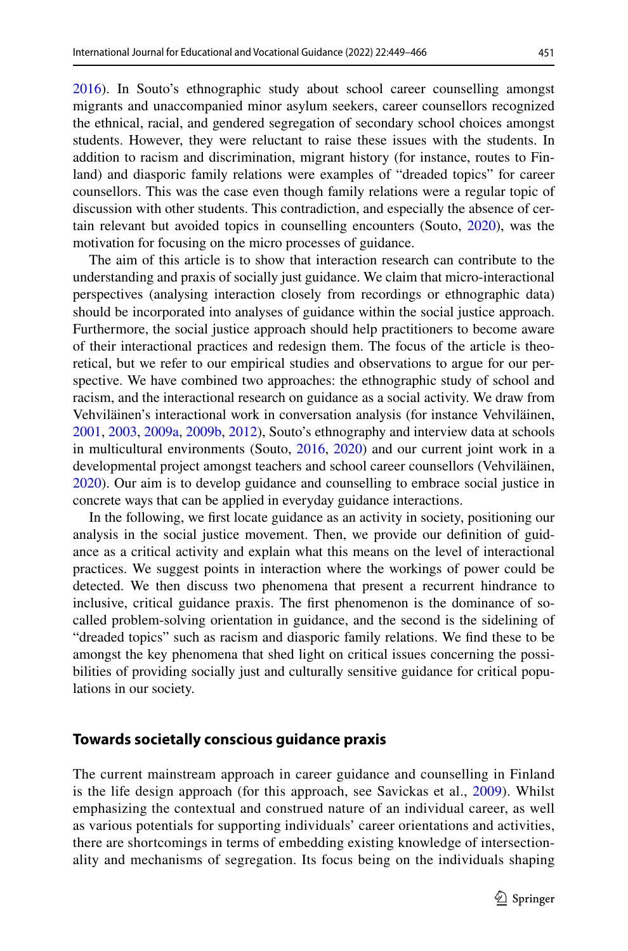[2016](#page-16-0)). In Souto's ethnographic study about school career counselling amongst migrants and unaccompanied minor asylum seekers, career counsellors recognized the ethnical, racial, and gendered segregation of secondary school choices amongst students. However, they were reluctant to raise these issues with the students. In addition to racism and discrimination, migrant history (for instance, routes to Finland) and diasporic family relations were examples of "dreaded topics" for career counsellors. This was the case even though family relations were a regular topic of discussion with other students. This contradiction, and especially the absence of certain relevant but avoided topics in counselling encounters (Souto, [2020](#page-16-1)), was the motivation for focusing on the micro processes of guidance.

The aim of this article is to show that interaction research can contribute to the understanding and praxis of socially just guidance. We claim that micro-interactional perspectives (analysing interaction closely from recordings or ethnographic data) should be incorporated into analyses of guidance within the social justice approach. Furthermore, the social justice approach should help practitioners to become aware of their interactional practices and redesign them. The focus of the article is theoretical, but we refer to our empirical studies and observations to argue for our perspective. We have combined two approaches: the ethnographic study of school and racism, and the interactional research on guidance as a social activity. We draw from Vehviläinen's interactional work in conversation analysis (for instance Vehviläinen, [2001](#page-16-2), [2003,](#page-16-3) [2009a](#page-16-4), [2009b](#page-16-5), [2012](#page-16-6)), Souto's ethnography and interview data at schools in multicultural environments (Souto, [2016,](#page-16-0) [2020\)](#page-16-1) and our current joint work in a developmental project amongst teachers and school career counsellors (Vehviläinen, [2020](#page-16-7)). Our aim is to develop guidance and counselling to embrace social justice in concrete ways that can be applied in everyday guidance interactions.

In the following, we frst locate guidance as an activity in society, positioning our analysis in the social justice movement. Then, we provide our defnition of guidance as a critical activity and explain what this means on the level of interactional practices. We suggest points in interaction where the workings of power could be detected. We then discuss two phenomena that present a recurrent hindrance to inclusive, critical guidance praxis. The frst phenomenon is the dominance of socalled problem-solving orientation in guidance, and the second is the sidelining of "dreaded topics" such as racism and diasporic family relations. We fnd these to be amongst the key phenomena that shed light on critical issues concerning the possibilities of providing socially just and culturally sensitive guidance for critical populations in our society.

## **Towards societally conscious guidance praxis**

The current mainstream approach in career guidance and counselling in Finland is the life design approach (for this approach, see Savickas et al., [2009](#page-15-4)). Whilst emphasizing the contextual and construed nature of an individual career, as well as various potentials for supporting individuals' career orientations and activities, there are shortcomings in terms of embedding existing knowledge of intersectionality and mechanisms of segregation. Its focus being on the individuals shaping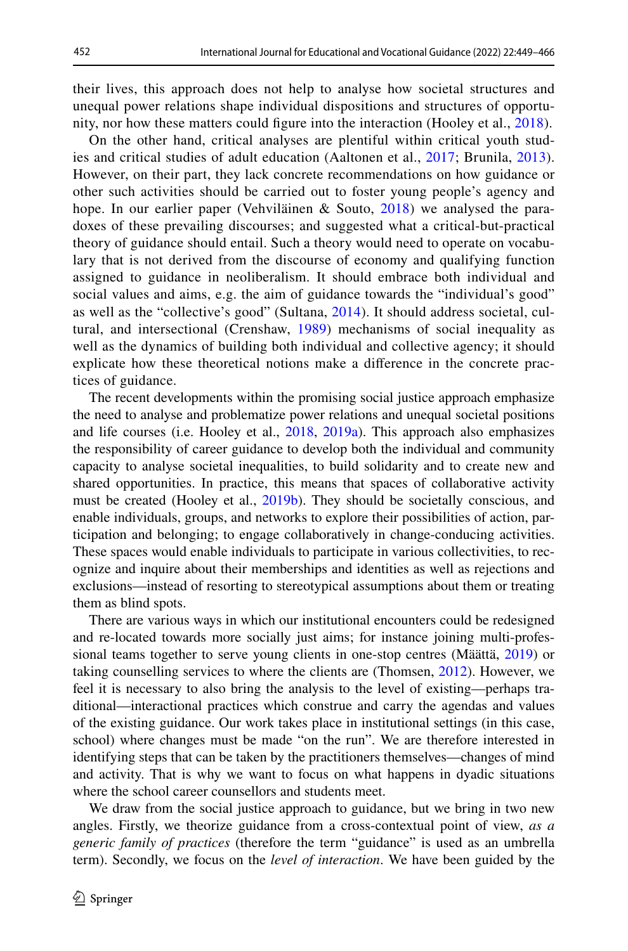their lives, this approach does not help to analyse how societal structures and unequal power relations shape individual dispositions and structures of opportunity, nor how these matters could fgure into the interaction (Hooley et al., [2018\)](#page-15-5).

On the other hand, critical analyses are plentiful within critical youth studies and critical studies of adult education (Aaltonen et al., [2017;](#page-14-0) Brunila, [2013](#page-14-1)). However, on their part, they lack concrete recommendations on how guidance or other such activities should be carried out to foster young people's agency and hope. In our earlier paper (Vehviläinen & Souto,  $2018$ ) we analysed the paradoxes of these prevailing discourses; and suggested what a critical-but-practical theory of guidance should entail. Such a theory would need to operate on vocabulary that is not derived from the discourse of economy and qualifying function assigned to guidance in neoliberalism. It should embrace both individual and social values and aims, e.g. the aim of guidance towards the "individual's good" as well as the "collective's good" (Sultana, [2014\)](#page-16-8). It should address societal, cultural, and intersectional (Crenshaw, [1989\)](#page-14-2) mechanisms of social inequality as well as the dynamics of building both individual and collective agency; it should explicate how these theoretical notions make a diference in the concrete practices of guidance.

The recent developments within the promising social justice approach emphasize the need to analyse and problematize power relations and unequal societal positions and life courses (i.e. Hooley et al., [2018,](#page-15-5) [2019a\)](#page-15-6). This approach also emphasizes the responsibility of career guidance to develop both the individual and community capacity to analyse societal inequalities, to build solidarity and to create new and shared opportunities. In practice, this means that spaces of collaborative activity must be created (Hooley et al., [2019b\)](#page-15-7). They should be societally conscious, and enable individuals, groups, and networks to explore their possibilities of action, participation and belonging; to engage collaboratively in change-conducing activities. These spaces would enable individuals to participate in various collectivities, to recognize and inquire about their memberships and identities as well as rejections and exclusions—instead of resorting to stereotypical assumptions about them or treating them as blind spots.

There are various ways in which our institutional encounters could be redesigned and re-located towards more socially just aims; for instance joining multi-professional teams together to serve young clients in one-stop centres (Määttä, [2019](#page-15-8)) or taking counselling services to where the clients are (Thomsen, [2012](#page-16-9)). However, we feel it is necessary to also bring the analysis to the level of existing—perhaps traditional—interactional practices which construe and carry the agendas and values of the existing guidance. Our work takes place in institutional settings (in this case, school) where changes must be made "on the run". We are therefore interested in identifying steps that can be taken by the practitioners themselves—changes of mind and activity. That is why we want to focus on what happens in dyadic situations where the school career counsellors and students meet.

We draw from the social justice approach to guidance, but we bring in two new angles. Firstly, we theorize guidance from a cross-contextual point of view, *as a generic family of practices* (therefore the term "guidance" is used as an umbrella term). Secondly, we focus on the *level of interaction*. We have been guided by the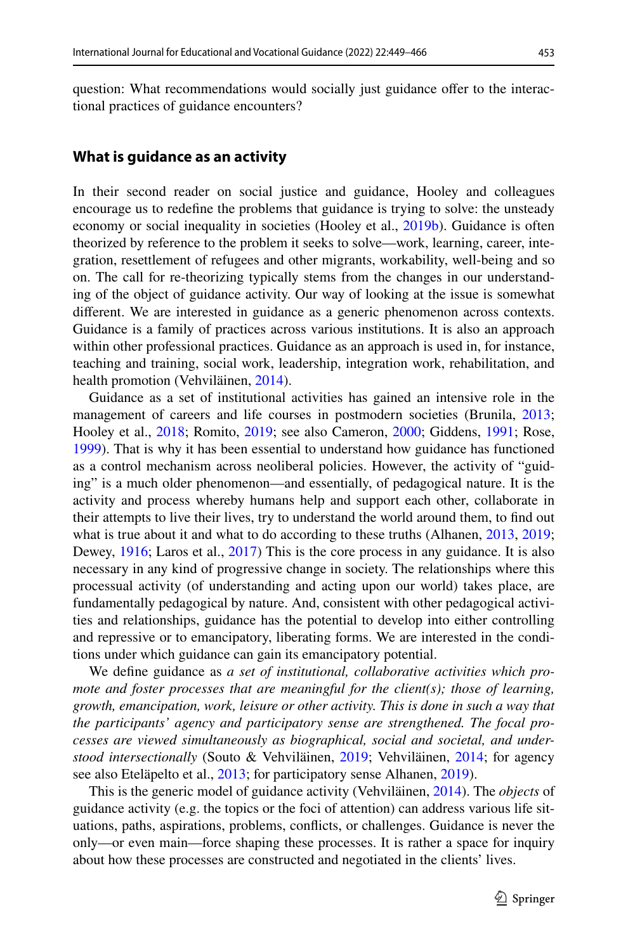question: What recommendations would socially just guidance ofer to the interactional practices of guidance encounters?

#### **What is guidance as an activity**

In their second reader on social justice and guidance, Hooley and colleagues encourage us to redefne the problems that guidance is trying to solve: the unsteady economy or social inequality in societies (Hooley et al., [2019b](#page-15-7)). Guidance is often theorized by reference to the problem it seeks to solve—work, learning, career, integration, resettlement of refugees and other migrants, workability, well-being and so on. The call for re-theorizing typically stems from the changes in our understanding of the object of guidance activity. Our way of looking at the issue is somewhat diferent. We are interested in guidance as a generic phenomenon across contexts. Guidance is a family of practices across various institutions. It is also an approach within other professional practices. Guidance as an approach is used in, for instance, teaching and training, social work, leadership, integration work, rehabilitation, and health promotion (Vehviläinen, [2014\)](#page-16-10).

Guidance as a set of institutional activities has gained an intensive role in the management of careers and life courses in postmodern societies (Brunila, [2013;](#page-14-1) Hooley et al., [2018](#page-15-5); Romito, [2019](#page-15-9); see also Cameron, [2000;](#page-14-3) Giddens, [1991](#page-15-10); Rose, [1999](#page-15-11)). That is why it has been essential to understand how guidance has functioned as a control mechanism across neoliberal policies. However, the activity of "guiding" is a much older phenomenon—and essentially, of pedagogical nature. It is the activity and process whereby humans help and support each other, collaborate in their attempts to live their lives, try to understand the world around them, to fnd out what is true about it and what to do according to these truths (Alhanen, [2013](#page-14-4), [2019;](#page-14-5) Dewey, [1916;](#page-14-6) Laros et al., [2017\)](#page-15-12) This is the core process in any guidance. It is also necessary in any kind of progressive change in society. The relationships where this processual activity (of understanding and acting upon our world) takes place, are fundamentally pedagogical by nature. And, consistent with other pedagogical activities and relationships, guidance has the potential to develop into either controlling and repressive or to emancipatory, liberating forms. We are interested in the conditions under which guidance can gain its emancipatory potential.

We defne guidance as *a set of institutional, collaborative activities which promote and foster processes that are meaningful for the client(s); those of learning, growth, emancipation, work, leisure or other activity. This is done in such a way that the participants' agency and participatory sense are strengthened. The focal processes are viewed simultaneously as biographical, social and societal, and understood intersectionally* (Souto & Vehviläinen, [2019;](#page-16-11) Vehviläinen, [2014;](#page-16-10) for agency see also Eteläpelto et al., [2013](#page-15-13); for participatory sense Alhanen, [2019](#page-14-5)).

This is the generic model of guidance activity (Vehviläinen, [2014](#page-16-10)). The *objects* of guidance activity (e.g. the topics or the foci of attention) can address various life situations, paths, aspirations, problems, conficts, or challenges. Guidance is never the only—or even main—force shaping these processes. It is rather a space for inquiry about how these processes are constructed and negotiated in the clients' lives.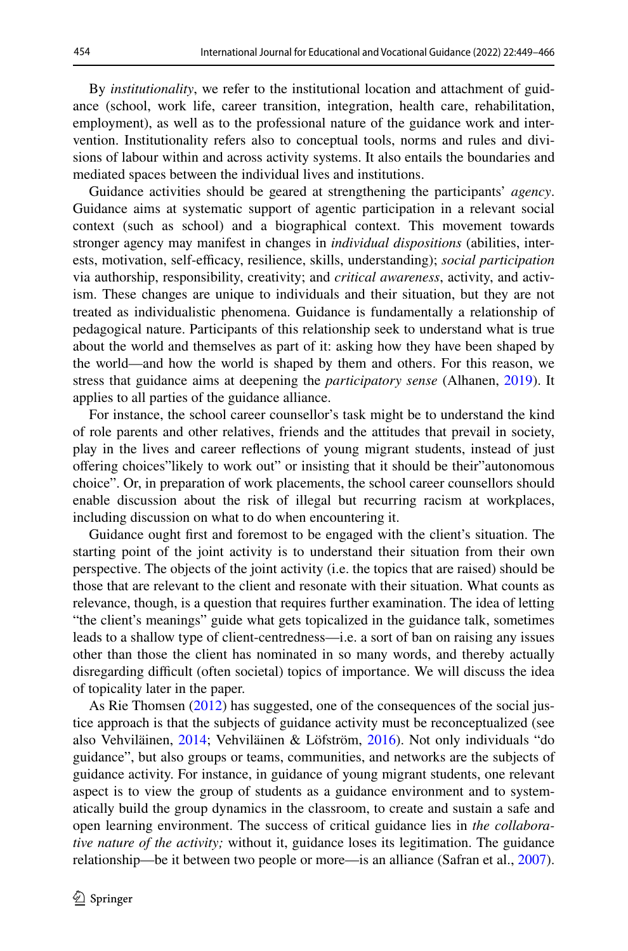By *institutionality*, we refer to the institutional location and attachment of guidance (school, work life, career transition, integration, health care, rehabilitation, employment), as well as to the professional nature of the guidance work and intervention. Institutionality refers also to conceptual tools, norms and rules and divisions of labour within and across activity systems. It also entails the boundaries and mediated spaces between the individual lives and institutions.

Guidance activities should be geared at strengthening the participants' *agency*. Guidance aims at systematic support of agentic participation in a relevant social context (such as school) and a biographical context. This movement towards stronger agency may manifest in changes in *individual dispositions* (abilities, interests, motivation, self-efficacy, resilience, skills, understanding); *social participation* via authorship, responsibility, creativity; and *critical awareness*, activity, and activism. These changes are unique to individuals and their situation, but they are not treated as individualistic phenomena. Guidance is fundamentally a relationship of pedagogical nature. Participants of this relationship seek to understand what is true about the world and themselves as part of it: asking how they have been shaped by the world—and how the world is shaped by them and others. For this reason, we stress that guidance aims at deepening the *participatory sense* (Alhanen, [2019\)](#page-14-5). It applies to all parties of the guidance alliance.

For instance, the school career counsellor's task might be to understand the kind of role parents and other relatives, friends and the attitudes that prevail in society, play in the lives and career refections of young migrant students, instead of just ofering choices"likely to work out" or insisting that it should be their"autonomous choice". Or, in preparation of work placements, the school career counsellors should enable discussion about the risk of illegal but recurring racism at workplaces, including discussion on what to do when encountering it.

Guidance ought frst and foremost to be engaged with the client's situation. The starting point of the joint activity is to understand their situation from their own perspective. The objects of the joint activity (i.e. the topics that are raised) should be those that are relevant to the client and resonate with their situation. What counts as relevance, though, is a question that requires further examination. The idea of letting "the client's meanings" guide what gets topicalized in the guidance talk, sometimes leads to a shallow type of client-centredness—i.e. a sort of ban on raising any issues other than those the client has nominated in so many words, and thereby actually disregarding difcult (often societal) topics of importance. We will discuss the idea of topicality later in the paper.

As Rie Thomsen ([2012\)](#page-16-9) has suggested, one of the consequences of the social justice approach is that the subjects of guidance activity must be reconceptualized (see also Vehviläinen, [2014;](#page-16-10) Vehviläinen & Löfström, [2016](#page-17-1)). Not only individuals "do guidance", but also groups or teams, communities, and networks are the subjects of guidance activity. For instance, in guidance of young migrant students, one relevant aspect is to view the group of students as a guidance environment and to systematically build the group dynamics in the classroom, to create and sustain a safe and open learning environment. The success of critical guidance lies in *the collaborative nature of the activity;* without it, guidance loses its legitimation. The guidance relationship—be it between two people or more—is an alliance (Safran et al., [2007\)](#page-15-14).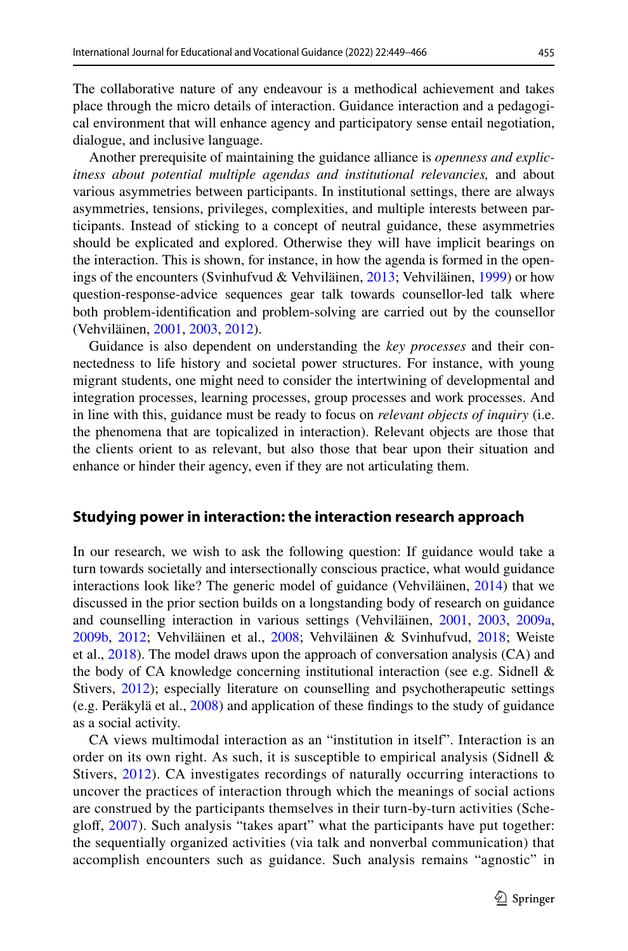The collaborative nature of any endeavour is a methodical achievement and takes place through the micro details of interaction. Guidance interaction and a pedagogical environment that will enhance agency and participatory sense entail negotiation, dialogue, and inclusive language.

Another prerequisite of maintaining the guidance alliance is *openness and explicitness about potential multiple agendas and institutional relevancies,* and about various asymmetries between participants. In institutional settings, there are always asymmetries, tensions, privileges, complexities, and multiple interests between participants. Instead of sticking to a concept of neutral guidance, these asymmetries should be explicated and explored. Otherwise they will have implicit bearings on the interaction. This is shown, for instance, in how the agenda is formed in the openings of the encounters (Svinhufvud & Vehviläinen, [2013;](#page-16-12) Vehviläinen, [1999\)](#page-16-13) or how question-response-advice sequences gear talk towards counsellor-led talk where both problem-identifcation and problem-solving are carried out by the counsellor (Vehviläinen, [2001,](#page-16-2) [2003,](#page-16-3) [2012\)](#page-16-6).

Guidance is also dependent on understanding the *key processes* and their connectedness to life history and societal power structures. For instance, with young migrant students, one might need to consider the intertwining of developmental and integration processes, learning processes, group processes and work processes. And in line with this, guidance must be ready to focus on *relevant objects of inquiry* (i.e. the phenomena that are topicalized in interaction). Relevant objects are those that the clients orient to as relevant, but also those that bear upon their situation and enhance or hinder their agency, even if they are not articulating them.

#### **Studying power in interaction: the interaction research approach**

In our research, we wish to ask the following question: If guidance would take a turn towards societally and intersectionally conscious practice, what would guidance interactions look like? The generic model of guidance (Vehviläinen, [2014](#page-16-10)) that we discussed in the prior section builds on a longstanding body of research on guidance and counselling interaction in various settings (Vehviläinen, [2001](#page-16-2), [2003](#page-16-3), [2009a,](#page-16-4) [2009b](#page-16-5), [2012;](#page-16-6) Vehviläinen et al., [2008;](#page-17-2) Vehviläinen & Svinhufvud, [2018](#page-17-3); Weiste et al., [2018\)](#page-17-4). The model draws upon the approach of conversation analysis (CA) and the body of CA knowledge concerning institutional interaction (see e.g. Sidnell  $\&$ Stivers, [2012\)](#page-16-14); especially literature on counselling and psychotherapeutic settings (e.g. Peräkylä et al., [2008](#page-15-15)) and application of these fndings to the study of guidance as a social activity.

CA views multimodal interaction as an "institution in itself". Interaction is an order on its own right. As such, it is susceptible to empirical analysis (Sidnell  $\&$ Stivers, [2012](#page-16-14)). CA investigates recordings of naturally occurring interactions to uncover the practices of interaction through which the meanings of social actions are construed by the participants themselves in their turn-by-turn activities (Scheglof, [2007\)](#page-16-15). Such analysis "takes apart" what the participants have put together: the sequentially organized activities (via talk and nonverbal communication) that accomplish encounters such as guidance. Such analysis remains "agnostic" in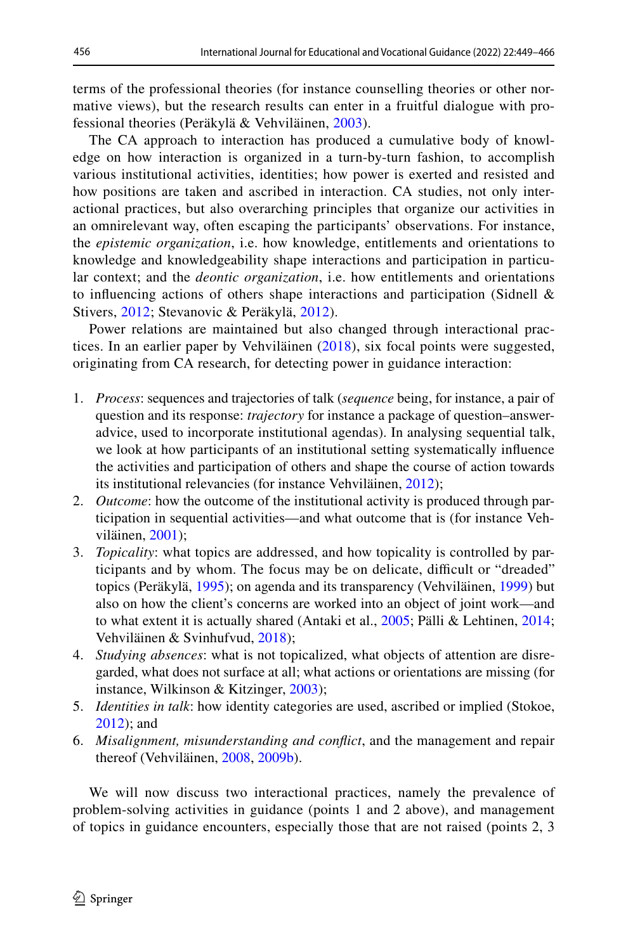terms of the professional theories (for instance counselling theories or other normative views), but the research results can enter in a fruitful dialogue with professional theories (Peräkylä & Vehviläinen, [2003\)](#page-15-16).

The CA approach to interaction has produced a cumulative body of knowledge on how interaction is organized in a turn-by-turn fashion, to accomplish various institutional activities, identities; how power is exerted and resisted and how positions are taken and ascribed in interaction. CA studies, not only interactional practices, but also overarching principles that organize our activities in an omnirelevant way, often escaping the participants' observations. For instance, the *epistemic organization*, i.e. how knowledge, entitlements and orientations to knowledge and knowledgeability shape interactions and participation in particular context; and the *deontic organization*, i.e. how entitlements and orientations to infuencing actions of others shape interactions and participation (Sidnell & Stivers, [2012](#page-16-14); Stevanovic & Peräkylä, [2012\)](#page-16-16).

Power relations are maintained but also changed through interactional practices. In an earlier paper by Vehviläinen ([2018](#page-16-17)), six focal points were suggested, originating from CA research, for detecting power in guidance interaction:

- 1. *Process*: sequences and trajectories of talk (*sequence* being, for instance, a pair of question and its response: *trajectory* for instance a package of question–answeradvice, used to incorporate institutional agendas). In analysing sequential talk, we look at how participants of an institutional setting systematically infuence the activities and participation of others and shape the course of action towards its institutional relevancies (for instance Vehviläinen, [2012](#page-16-6));
- 2. *Outcome*: how the outcome of the institutional activity is produced through participation in sequential activities—and what outcome that is (for instance Vehviläinen, [2001\)](#page-16-2);
- 3. *Topicality*: what topics are addressed, and how topicality is controlled by participants and by whom. The focus may be on delicate, difficult or "dreaded" topics (Peräkylä, [1995](#page-15-17)); on agenda and its transparency (Vehviläinen, [1999\)](#page-16-13) but also on how the client's concerns are worked into an object of joint work—and to what extent it is actually shared (Antaki et al., [2005](#page-14-7); Pälli & Lehtinen, [2014;](#page-15-18) Vehviläinen & Svinhufvud, [2018\)](#page-17-3);
- 4. *Studying absences*: what is not topicalized, what objects of attention are disregarded, what does not surface at all; what actions or orientations are missing (for instance, Wilkinson & Kitzinger, [2003\)](#page-17-5);
- 5. *Identities in talk*: how identity categories are used, ascribed or implied (Stokoe, [2012](#page-16-18)); and
- 6. *Misalignment, misunderstanding and confict*, and the management and repair thereof (Vehviläinen, [2008](#page-16-19), [2009b\)](#page-17-2).

We will now discuss two interactional practices, namely the prevalence of problem-solving activities in guidance (points 1 and 2 above), and management of topics in guidance encounters, especially those that are not raised (points 2, 3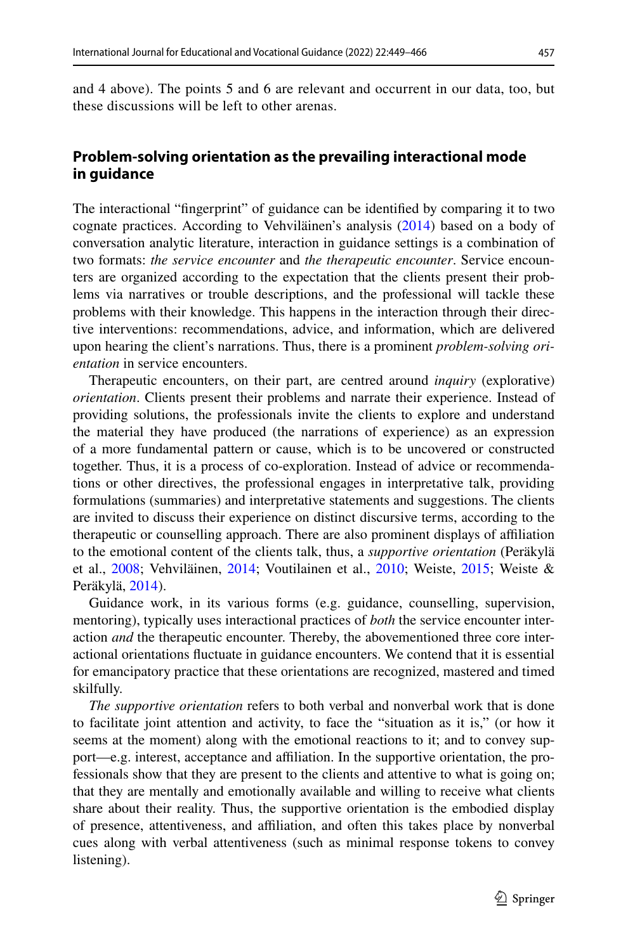and 4 above). The points 5 and 6 are relevant and occurrent in our data, too, but these discussions will be left to other arenas.

## **Problem‑solving orientation as the prevailing interactional mode in guidance**

The interactional "fngerprint" of guidance can be identifed by comparing it to two cognate practices. According to Vehviläinen's analysis [\(2014](#page-16-10)) based on a body of conversation analytic literature, interaction in guidance settings is a combination of two formats: *the service encounter* and *the therapeutic encounter*. Service encounters are organized according to the expectation that the clients present their problems via narratives or trouble descriptions, and the professional will tackle these problems with their knowledge. This happens in the interaction through their directive interventions: recommendations, advice, and information, which are delivered upon hearing the client's narrations. Thus, there is a prominent *problem-solving orientation* in service encounters.

Therapeutic encounters, on their part, are centred around *inquiry* (explorative) *orientation*. Clients present their problems and narrate their experience. Instead of providing solutions, the professionals invite the clients to explore and understand the material they have produced (the narrations of experience) as an expression of a more fundamental pattern or cause, which is to be uncovered or constructed together. Thus, it is a process of co-exploration. Instead of advice or recommendations or other directives, the professional engages in interpretative talk, providing formulations (summaries) and interpretative statements and suggestions. The clients are invited to discuss their experience on distinct discursive terms, according to the therapeutic or counselling approach. There are also prominent displays of afliation to the emotional content of the clients talk, thus, a *supportive orientation* (Peräkylä et al., [2008](#page-15-15); Vehviläinen, [2014](#page-16-10); Voutilainen et al., [2010](#page-17-6); Weiste, [2015](#page-17-7); Weiste & Peräkylä, [2014\)](#page-17-8).

Guidance work, in its various forms (e.g. guidance, counselling, supervision, mentoring), typically uses interactional practices of *both* the service encounter interaction *and* the therapeutic encounter. Thereby, the abovementioned three core interactional orientations fuctuate in guidance encounters. We contend that it is essential for emancipatory practice that these orientations are recognized, mastered and timed skilfully.

*The supportive orientation* refers to both verbal and nonverbal work that is done to facilitate joint attention and activity, to face the "situation as it is," (or how it seems at the moment) along with the emotional reactions to it; and to convey support—e.g. interest, acceptance and afliation. In the supportive orientation, the professionals show that they are present to the clients and attentive to what is going on; that they are mentally and emotionally available and willing to receive what clients share about their reality. Thus, the supportive orientation is the embodied display of presence, attentiveness, and afliation, and often this takes place by nonverbal cues along with verbal attentiveness (such as minimal response tokens to convey listening).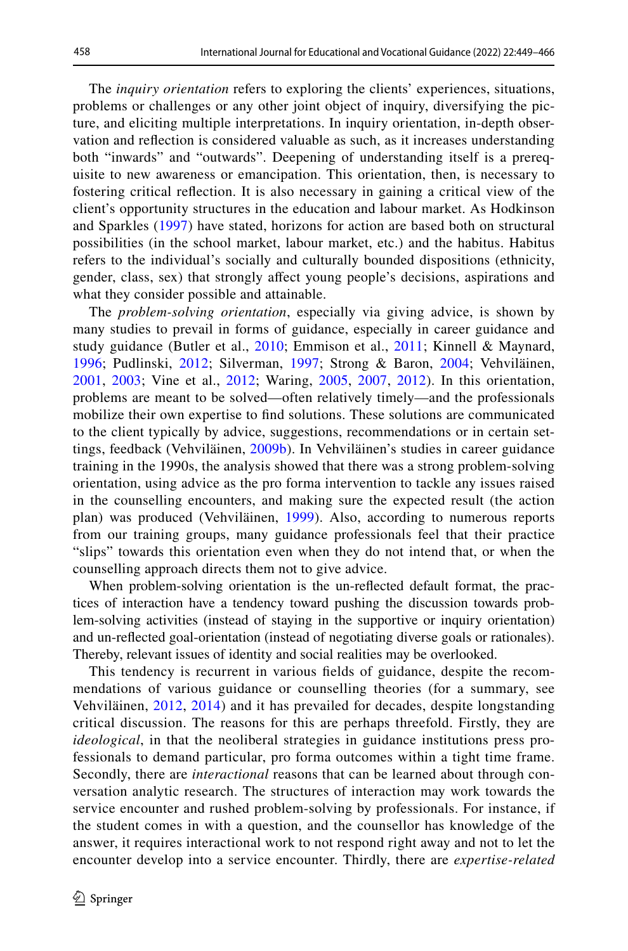The *inquiry orientation* refers to exploring the clients' experiences, situations, problems or challenges or any other joint object of inquiry, diversifying the picture, and eliciting multiple interpretations. In inquiry orientation, in-depth observation and refection is considered valuable as such, as it increases understanding both "inwards" and "outwards". Deepening of understanding itself is a prerequisite to new awareness or emancipation. This orientation, then, is necessary to fostering critical refection. It is also necessary in gaining a critical view of the client's opportunity structures in the education and labour market. As Hodkinson and Sparkles ([1997\)](#page-15-19) have stated, horizons for action are based both on structural possibilities (in the school market, labour market, etc.) and the habitus. Habitus refers to the individual's socially and culturally bounded dispositions (ethnicity, gender, class, sex) that strongly affect young people's decisions, aspirations and what they consider possible and attainable.

The *problem-solving orientation*, especially via giving advice, is shown by many studies to prevail in forms of guidance, especially in career guidance and study guidance (Butler et al., [2010;](#page-14-8) Emmison et al., [2011](#page-15-20); Kinnell & Maynard, [1996;](#page-15-21) Pudlinski, [2012](#page-15-22); Silverman, [1997;](#page-16-20) Strong & Baron, [2004;](#page-16-21) Vehviläinen, [2001,](#page-16-2) [2003;](#page-16-3) Vine et al., [2012;](#page-17-9) Waring, [2005,](#page-17-10) [2007](#page-17-11), [2012](#page-17-12)). In this orientation, problems are meant to be solved—often relatively timely—and the professionals mobilize their own expertise to fnd solutions. These solutions are communicated to the client typically by advice, suggestions, recommendations or in certain settings, feedback (Vehviläinen, [2009b\)](#page-16-5). In Vehviläinen's studies in career guidance training in the 1990s, the analysis showed that there was a strong problem-solving orientation, using advice as the pro forma intervention to tackle any issues raised in the counselling encounters, and making sure the expected result (the action plan) was produced (Vehviläinen, [1999](#page-16-13)). Also, according to numerous reports from our training groups, many guidance professionals feel that their practice "slips" towards this orientation even when they do not intend that, or when the counselling approach directs them not to give advice.

When problem-solving orientation is the un-refected default format, the practices of interaction have a tendency toward pushing the discussion towards problem-solving activities (instead of staying in the supportive or inquiry orientation) and un-refected goal-orientation (instead of negotiating diverse goals or rationales). Thereby, relevant issues of identity and social realities may be overlooked.

This tendency is recurrent in various felds of guidance, despite the recommendations of various guidance or counselling theories (for a summary, see Vehviläinen, [2012](#page-16-6), [2014\)](#page-16-10) and it has prevailed for decades, despite longstanding critical discussion. The reasons for this are perhaps threefold. Firstly, they are *ideological*, in that the neoliberal strategies in guidance institutions press professionals to demand particular, pro forma outcomes within a tight time frame. Secondly, there are *interactional* reasons that can be learned about through conversation analytic research. The structures of interaction may work towards the service encounter and rushed problem-solving by professionals. For instance, if the student comes in with a question, and the counsellor has knowledge of the answer, it requires interactional work to not respond right away and not to let the encounter develop into a service encounter. Thirdly, there are *expertise-related*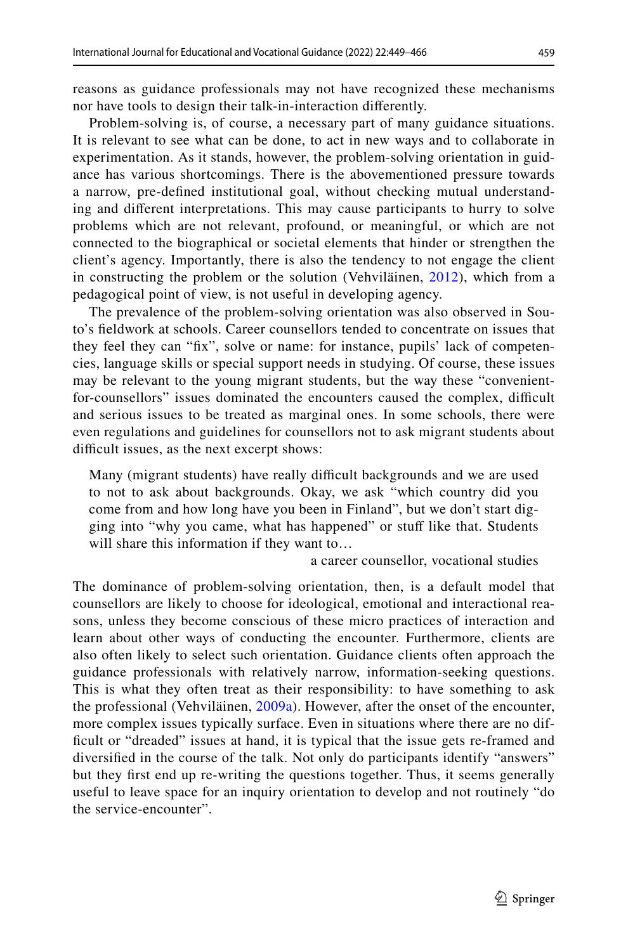reasons as guidance professionals may not have recognized these mechanisms nor have tools to design their talk-in-interaction diferently.

Problem-solving is, of course, a necessary part of many guidance situations. It is relevant to see what can be done, to act in new ways and to collaborate in experimentation. As it stands, however, the problem-solving orientation in guidance has various shortcomings. There is the abovementioned pressure towards a narrow, pre-defned institutional goal, without checking mutual understanding and diferent interpretations. This may cause participants to hurry to solve problems which are not relevant, profound, or meaningful, or which are not connected to the biographical or societal elements that hinder or strengthen the client's agency. Importantly, there is also the tendency to not engage the client in constructing the problem or the solution (Vehviläinen, [2012](#page-16-6)), which from a pedagogical point of view, is not useful in developing agency.

The prevalence of the problem-solving orientation was also observed in Souto's feldwork at schools. Career counsellors tended to concentrate on issues that they feel they can "fx", solve or name: for instance, pupils' lack of competencies, language skills or special support needs in studying. Of course, these issues may be relevant to the young migrant students, but the way these "convenientfor-counsellors" issues dominated the encounters caused the complex, difficult and serious issues to be treated as marginal ones. In some schools, there were even regulations and guidelines for counsellors not to ask migrant students about difficult issues, as the next excerpt shows:

Many (migrant students) have really difficult backgrounds and we are used to not to ask about backgrounds. Okay, we ask "which country did you come from and how long have you been in Finland", but we don't start digging into "why you came, what has happened" or stuf like that. Students will share this information if they want to…

a career counsellor, vocational studies

The dominance of problem-solving orientation, then, is a default model that counsellors are likely to choose for ideological, emotional and interactional reasons, unless they become conscious of these micro practices of interaction and learn about other ways of conducting the encounter. Furthermore, clients are also often likely to select such orientation. Guidance clients often approach the guidance professionals with relatively narrow, information-seeking questions. This is what they often treat as their responsibility: to have something to ask the professional (Vehviläinen, [2009a\)](#page-16-4). However, after the onset of the encounter, more complex issues typically surface. Even in situations where there are no difficult or "dreaded" issues at hand, it is typical that the issue gets re-framed and diversifed in the course of the talk. Not only do participants identify "answers" but they frst end up re-writing the questions together. Thus, it seems generally useful to leave space for an inquiry orientation to develop and not routinely "do the service-encounter".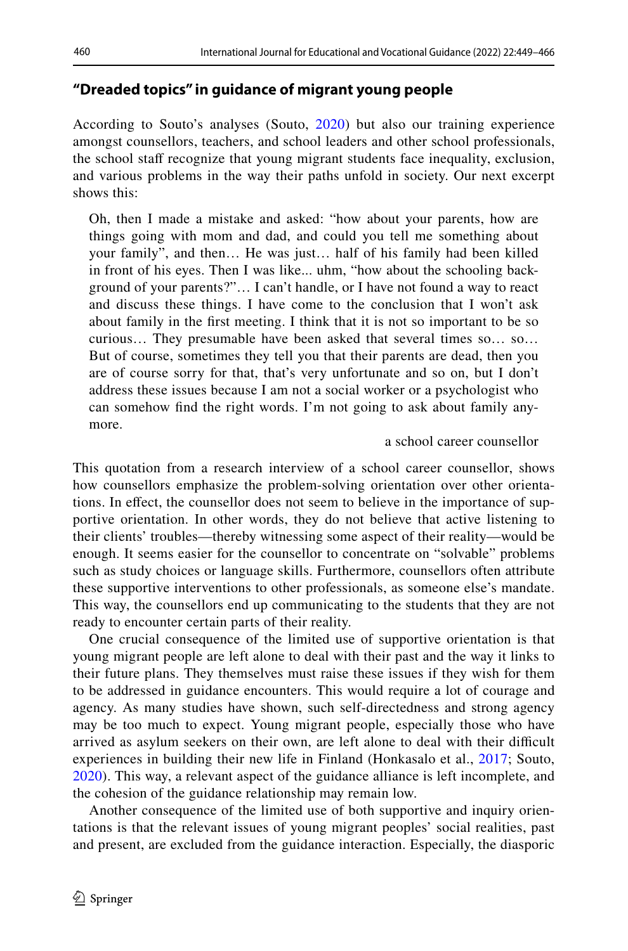## **"Dreaded topics" in guidance of migrant young people**

According to Souto's analyses (Souto, [2020](#page-16-1)) but also our training experience amongst counsellors, teachers, and school leaders and other school professionals, the school staff recognize that young migrant students face inequality, exclusion, and various problems in the way their paths unfold in society. Our next excerpt shows this:

Oh, then I made a mistake and asked: "how about your parents, how are things going with mom and dad, and could you tell me something about your family", and then… He was just… half of his family had been killed in front of his eyes. Then I was like... uhm, "how about the schooling background of your parents?"… I can't handle, or I have not found a way to react and discuss these things. I have come to the conclusion that I won't ask about family in the frst meeting. I think that it is not so important to be so curious… They presumable have been asked that several times so… so… But of course, sometimes they tell you that their parents are dead, then you are of course sorry for that, that's very unfortunate and so on, but I don't address these issues because I am not a social worker or a psychologist who can somehow fnd the right words. I'm not going to ask about family anymore.

#### a school career counsellor

This quotation from a research interview of a school career counsellor, shows how counsellors emphasize the problem-solving orientation over other orientations. In effect, the counsellor does not seem to believe in the importance of supportive orientation. In other words, they do not believe that active listening to their clients' troubles—thereby witnessing some aspect of their reality—would be enough. It seems easier for the counsellor to concentrate on "solvable" problems such as study choices or language skills. Furthermore, counsellors often attribute these supportive interventions to other professionals, as someone else's mandate. This way, the counsellors end up communicating to the students that they are not ready to encounter certain parts of their reality.

One crucial consequence of the limited use of supportive orientation is that young migrant people are left alone to deal with their past and the way it links to their future plans. They themselves must raise these issues if they wish for them to be addressed in guidance encounters. This would require a lot of courage and agency. As many studies have shown, such self-directedness and strong agency may be too much to expect. Young migrant people, especially those who have arrived as asylum seekers on their own, are left alone to deal with their difficult experiences in building their new life in Finland (Honkasalo et al., [2017;](#page-15-1) Souto, [2020\)](#page-16-1). This way, a relevant aspect of the guidance alliance is left incomplete, and the cohesion of the guidance relationship may remain low.

Another consequence of the limited use of both supportive and inquiry orientations is that the relevant issues of young migrant peoples' social realities, past and present, are excluded from the guidance interaction. Especially, the diasporic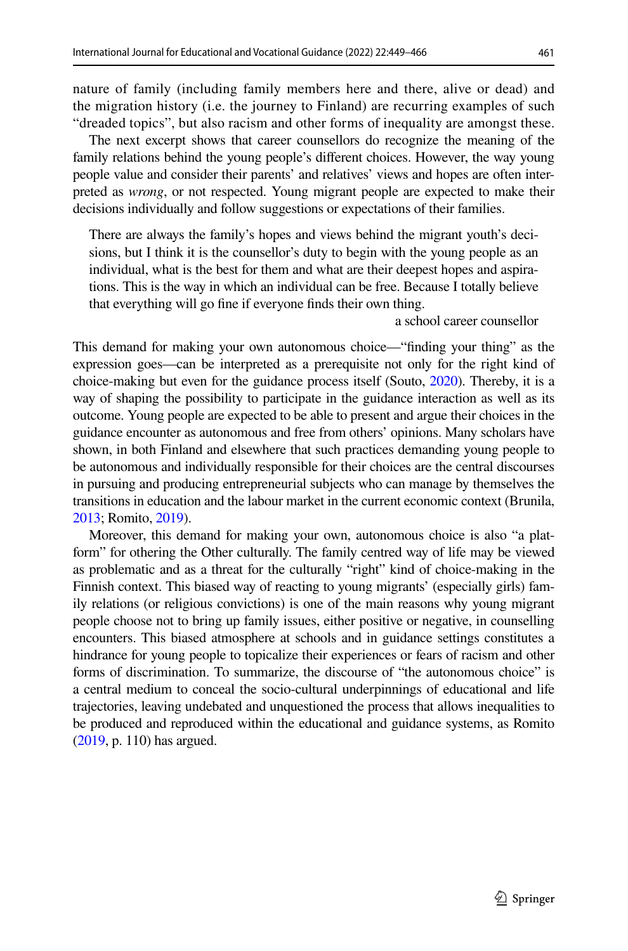nature of family (including family members here and there, alive or dead) and the migration history (i.e. the journey to Finland) are recurring examples of such "dreaded topics", but also racism and other forms of inequality are amongst these.

The next excerpt shows that career counsellors do recognize the meaning of the family relations behind the young people's diferent choices. However, the way young people value and consider their parents' and relatives' views and hopes are often interpreted as *wrong*, or not respected. Young migrant people are expected to make their decisions individually and follow suggestions or expectations of their families.

There are always the family's hopes and views behind the migrant youth's decisions, but I think it is the counsellor's duty to begin with the young people as an individual, what is the best for them and what are their deepest hopes and aspirations. This is the way in which an individual can be free. Because I totally believe that everything will go fne if everyone fnds their own thing.

a school career counsellor

This demand for making your own autonomous choice—"fnding your thing" as the expression goes—can be interpreted as a prerequisite not only for the right kind of choice-making but even for the guidance process itself (Souto, [2020](#page-16-1)). Thereby, it is a way of shaping the possibility to participate in the guidance interaction as well as its outcome. Young people are expected to be able to present and argue their choices in the guidance encounter as autonomous and free from others' opinions. Many scholars have shown, in both Finland and elsewhere that such practices demanding young people to be autonomous and individually responsible for their choices are the central discourses in pursuing and producing entrepreneurial subjects who can manage by themselves the transitions in education and the labour market in the current economic context (Brunila, [2013](#page-14-1); Romito, [2019\)](#page-15-9).

Moreover, this demand for making your own, autonomous choice is also "a platform" for othering the Other culturally. The family centred way of life may be viewed as problematic and as a threat for the culturally "right" kind of choice-making in the Finnish context. This biased way of reacting to young migrants' (especially girls) family relations (or religious convictions) is one of the main reasons why young migrant people choose not to bring up family issues, either positive or negative, in counselling encounters. This biased atmosphere at schools and in guidance settings constitutes a hindrance for young people to topicalize their experiences or fears of racism and other forms of discrimination. To summarize, the discourse of "the autonomous choice" is a central medium to conceal the socio-cultural underpinnings of educational and life trajectories, leaving undebated and unquestioned the process that allows inequalities to be produced and reproduced within the educational and guidance systems, as Romito [\(2019,](#page-15-9) p. 110) has argued.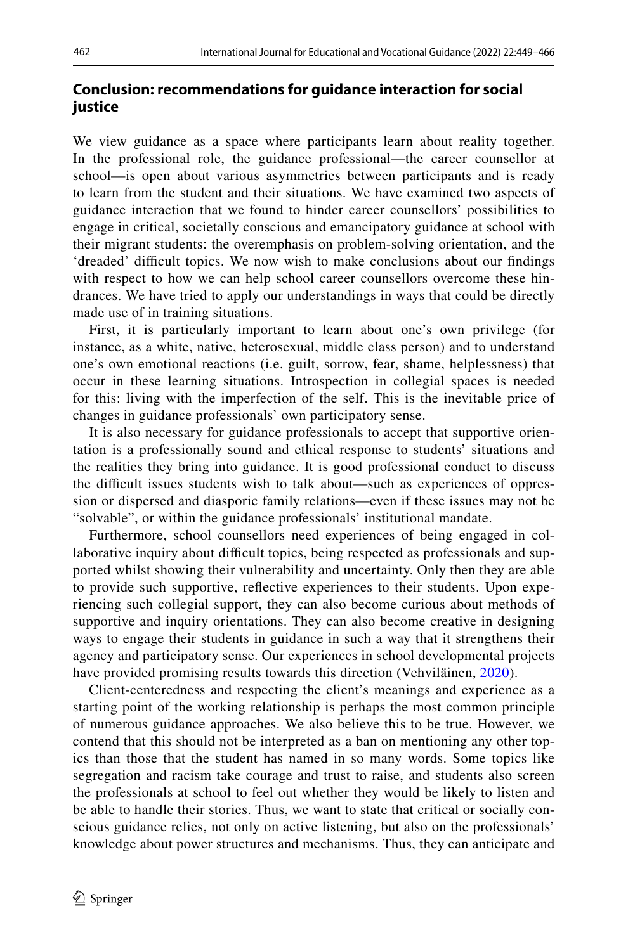## **Conclusion: recommendations for guidance interaction for social justice**

We view guidance as a space where participants learn about reality together. In the professional role, the guidance professional—the career counsellor at school—is open about various asymmetries between participants and is ready to learn from the student and their situations. We have examined two aspects of guidance interaction that we found to hinder career counsellors' possibilities to engage in critical, societally conscious and emancipatory guidance at school with their migrant students: the overemphasis on problem-solving orientation, and the 'dreaded' difficult topics. We now wish to make conclusions about our findings with respect to how we can help school career counsellors overcome these hindrances. We have tried to apply our understandings in ways that could be directly made use of in training situations.

First, it is particularly important to learn about one's own privilege (for instance, as a white, native, heterosexual, middle class person) and to understand one's own emotional reactions (i.e. guilt, sorrow, fear, shame, helplessness) that occur in these learning situations. Introspection in collegial spaces is needed for this: living with the imperfection of the self. This is the inevitable price of changes in guidance professionals' own participatory sense.

It is also necessary for guidance professionals to accept that supportive orientation is a professionally sound and ethical response to students' situations and the realities they bring into guidance. It is good professional conduct to discuss the difficult issues students wish to talk about—such as experiences of oppression or dispersed and diasporic family relations—even if these issues may not be "solvable", or within the guidance professionals' institutional mandate.

Furthermore, school counsellors need experiences of being engaged in collaborative inquiry about difficult topics, being respected as professionals and supported whilst showing their vulnerability and uncertainty. Only then they are able to provide such supportive, refective experiences to their students. Upon experiencing such collegial support, they can also become curious about methods of supportive and inquiry orientations. They can also become creative in designing ways to engage their students in guidance in such a way that it strengthens their agency and participatory sense. Our experiences in school developmental projects have provided promising results towards this direction (Vehviläinen, [2020\)](#page-16-7).

Client-centeredness and respecting the client's meanings and experience as a starting point of the working relationship is perhaps the most common principle of numerous guidance approaches. We also believe this to be true. However, we contend that this should not be interpreted as a ban on mentioning any other topics than those that the student has named in so many words. Some topics like segregation and racism take courage and trust to raise, and students also screen the professionals at school to feel out whether they would be likely to listen and be able to handle their stories. Thus, we want to state that critical or socially conscious guidance relies, not only on active listening, but also on the professionals' knowledge about power structures and mechanisms. Thus, they can anticipate and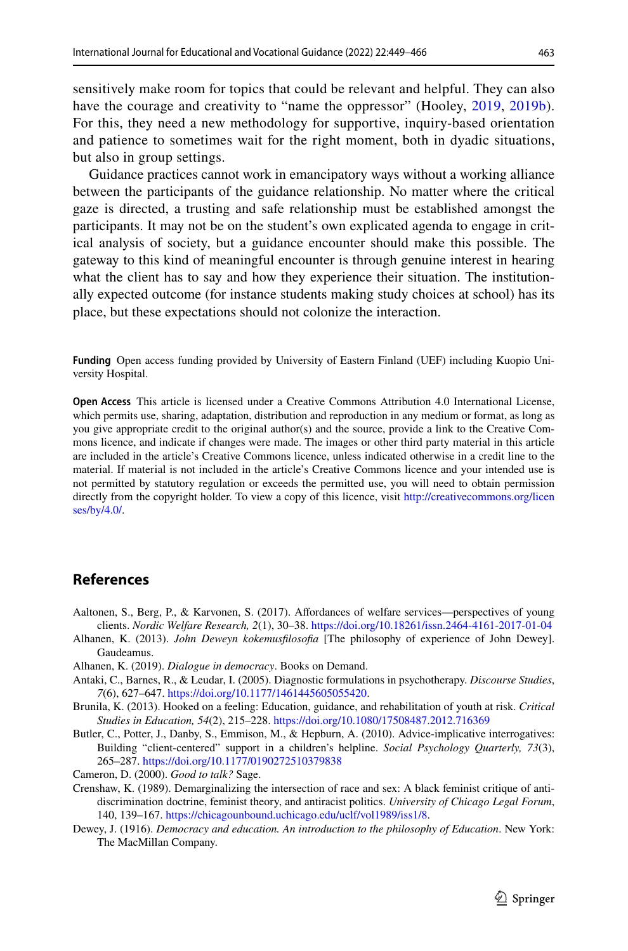sensitively make room for topics that could be relevant and helpful. They can also have the courage and creativity to "name the oppressor" (Hooley, [2019,](#page-15-23) [2019b](#page-15-7)). For this, they need a new methodology for supportive, inquiry-based orientation and patience to sometimes wait for the right moment, both in dyadic situations, but also in group settings.

Guidance practices cannot work in emancipatory ways without a working alliance between the participants of the guidance relationship. No matter where the critical gaze is directed, a trusting and safe relationship must be established amongst the participants. It may not be on the student's own explicated agenda to engage in critical analysis of society, but a guidance encounter should make this possible. The gateway to this kind of meaningful encounter is through genuine interest in hearing what the client has to say and how they experience their situation. The institutionally expected outcome (for instance students making study choices at school) has its place, but these expectations should not colonize the interaction.

**Funding** Open access funding provided by University of Eastern Finland (UEF) including Kuopio University Hospital.

**Open Access** This article is licensed under a Creative Commons Attribution 4.0 International License, which permits use, sharing, adaptation, distribution and reproduction in any medium or format, as long as you give appropriate credit to the original author(s) and the source, provide a link to the Creative Commons licence, and indicate if changes were made. The images or other third party material in this article are included in the article's Creative Commons licence, unless indicated otherwise in a credit line to the material. If material is not included in the article's Creative Commons licence and your intended use is not permitted by statutory regulation or exceeds the permitted use, you will need to obtain permission directly from the copyright holder. To view a copy of this licence, visit [http://creativecommons.org/licen](http://creativecommons.org/licenses/by/4.0/) [ses/by/4.0/](http://creativecommons.org/licenses/by/4.0/).

#### **References**

- <span id="page-14-0"></span>Aaltonen, S., Berg, P., & Karvonen, S. (2017). Affordances of welfare services—perspectives of young clients. *Nordic Welfare Research, 2*(1), 30–38.<https://doi.org/10.18261/issn.2464-4161-2017-01-04>
- <span id="page-14-4"></span>Alhanen, K. (2013). *John Deweyn kokemusflosofa* [The philosophy of experience of John Dewey]. Gaudeamus.
- <span id="page-14-5"></span>Alhanen, K. (2019). *Dialogue in democracy*. Books on Demand.
- <span id="page-14-7"></span>Antaki, C., Barnes, R., & Leudar, I. (2005). Diagnostic formulations in psychotherapy. *Discourse Studies*, *7*(6), 627–647. [https://doi.org/10.1177/1461445605055420.](https://doi.org/10.1177/1461445605055420)
- <span id="page-14-1"></span>Brunila, K. (2013). Hooked on a feeling: Education, guidance, and rehabilitation of youth at risk. *Critical Studies in Education, 54*(2), 215–228. <https://doi.org/10.1080/17508487.2012.716369>
- <span id="page-14-8"></span>Butler, C., Potter, J., Danby, S., Emmison, M., & Hepburn, A. (2010). Advice-implicative interrogatives: Building "client-centered" support in a children's helpline. *Social Psychology Quarterly, 73*(3), 265–287.<https://doi.org/10.1177/0190272510379838>
- <span id="page-14-3"></span>Cameron, D. (2000). *Good to talk?* Sage.
- <span id="page-14-2"></span>Crenshaw, K. (1989). Demarginalizing the intersection of race and sex: A black feminist critique of antidiscrimination doctrine, feminist theory, and antiracist politics. *University of Chicago Legal Forum*, 140, 139–167.<https://chicagounbound.uchicago.edu/uclf/vol1989/iss1/8>.
- <span id="page-14-6"></span>Dewey, J. (1916). *Democracy and education. An introduction to the philosophy of Education*. New York: The MacMillan Company.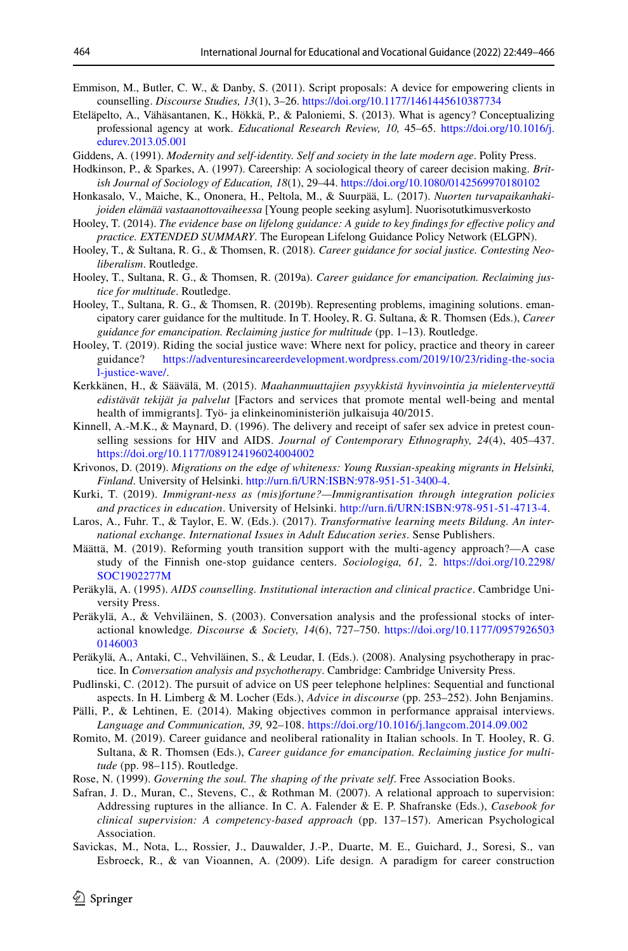- <span id="page-15-20"></span>Emmison, M., Butler, C. W., & Danby, S. (2011). Script proposals: A device for empowering clients in counselling. *Discourse Studies, 13*(1), 3–26. <https://doi.org/10.1177/1461445610387734>
- <span id="page-15-13"></span>Eteläpelto, A., Vähäsantanen, K., Hökkä, P., & Paloniemi, S. (2013). What is agency? Conceptualizing professional agency at work. *Educational Research Review, 10,* 45–65. [https://doi.org/10.1016/j.](https://doi.org/10.1016/j.edurev.2013.05.001) [edurev.2013.05.001](https://doi.org/10.1016/j.edurev.2013.05.001)
- <span id="page-15-10"></span>Giddens, A. (1991). *Modernity and self-identity. Self and society in the late modern age*. Polity Press.
- <span id="page-15-19"></span>Hodkinson, P., & Sparkes, A. (1997). Careership: A sociological theory of career decision making. *British Journal of Sociology of Education, 18*(1), 29–44. <https://doi.org/10.1080/0142569970180102>
- <span id="page-15-1"></span>Honkasalo, V., Maiche, K., Ononera, H., Peltola, M., & Suurpää, L. (2017). *Nuorten turvapaikanhakijoiden elämää vastaanottovaiheessa* [Young people seeking asylum]. Nuorisotutkimusverkosto
- Hooley, T. (2014). *The evidence base on lifelong guidance: A guide to key fndings for efective policy and practice. EXTENDED SUMMARY*. The European Lifelong Guidance Policy Network (ELGPN).
- <span id="page-15-5"></span>Hooley, T., & Sultana, R. G., & Thomsen, R. (2018). *Career guidance for social justice. Contesting Neoliberalism*. Routledge.
- <span id="page-15-6"></span>Hooley, T., Sultana, R. G., & Thomsen, R. (2019a). *Career guidance for emancipation. Reclaiming justice for multitude*. Routledge.
- <span id="page-15-7"></span>Hooley, T., Sultana, R. G., & Thomsen, R. (2019b). Representing problems, imagining solutions. emancipatory carer guidance for the multitude. In T. Hooley, R. G. Sultana, & R. Thomsen (Eds.), *Career guidance for emancipation. Reclaiming justice for multitude* (pp. 1–13). Routledge.
- <span id="page-15-23"></span>Hooley, T. (2019). Riding the social justice wave: Where next for policy, practice and theory in career guidance? https://adventuresincareerdevelopment.wordpress.com/2019/10/23/riding-the-social [https://adventuresincareerdevelopment.wordpress.com/2019/10/23/riding-the-socia](https://adventuresincareerdevelopment.wordpress.com/2019/10/23/riding-the-social-justice-wave/) [l-justice-wave/.](https://adventuresincareerdevelopment.wordpress.com/2019/10/23/riding-the-social-justice-wave/)
- <span id="page-15-0"></span>Kerkkänen, H., & Säävälä, M. (2015). *Maahanmuuttajien psyykkistä hyvinvointia ja mielenterveyttä edistävät tekijät ja palvelut* [Factors and services that promote mental well-being and mental health of immigrants]. Työ- ja elinkeinoministeriön julkaisuja 40/2015.
- <span id="page-15-21"></span>Kinnell, A.-M.K., & Maynard, D. (1996). The delivery and receipt of safer sex advice in pretest counselling sessions for HIV and AIDS. *Journal of Contemporary Ethnography, 24*(4), 405–437. <https://doi.org/10.1177/089124196024004002>
- <span id="page-15-2"></span>Krivonos, D. (2019). *Migrations on the edge of whiteness: Young Russian-speaking migrants in Helsinki, Finland*. University of Helsinki. [http://urn.f/URN:ISBN:978-951-51-3400-4](http://urn.fi/URN:ISBN:978-951-51-3400-4).
- <span id="page-15-3"></span>Kurki, T. (2019). *Immigrant-ness as (mis)fortune?—Immigrantisation through integration policies and practices in education*. University of Helsinki. [http://urn.f/URN:ISBN:978-951-51-4713-4](http://urn.fi/URN:ISBN:978-951-51-4713-4).
- <span id="page-15-12"></span>Laros, A., Fuhr. T., & Taylor, E. W. (Eds.). (2017). *Transformative learning meets Bildung. An international exchange. International Issues in Adult Education series*. Sense Publishers.
- <span id="page-15-8"></span>Määttä, M. (2019). Reforming youth transition support with the multi-agency approach?—A case study of the Finnish one-stop guidance centers. *Sociologiga, 61,* 2. [https://doi.org/10.2298/](https://doi.org/10.2298/SOC1902277M) [SOC1902277M](https://doi.org/10.2298/SOC1902277M)
- <span id="page-15-17"></span>Peräkylä, A. (1995). *AIDS counselling. Institutional interaction and clinical practice*. Cambridge University Press.
- <span id="page-15-16"></span>Peräkylä, A., & Vehviläinen, S. (2003). Conversation analysis and the professional stocks of interactional knowledge. *Discourse & Society, 14*(6), 727–750. [https://doi.org/10.1177/0957926503](https://doi.org/10.1177/09579265030146003) [0146003](https://doi.org/10.1177/09579265030146003)
- <span id="page-15-15"></span>Peräkylä, A., Antaki, C., Vehviläinen, S., & Leudar, I. (Eds.). (2008). Analysing psychotherapy in practice. In *Conversation analysis and psychotherapy*. Cambridge: Cambridge University Press.
- <span id="page-15-22"></span>Pudlinski, C. (2012). The pursuit of advice on US peer telephone helplines: Sequential and functional aspects. In H. Limberg & M. Locher (Eds.), *Advice in discourse* (pp. 253–252). John Benjamins.
- <span id="page-15-18"></span>Pälli, P., & Lehtinen, E. (2014). Making objectives common in performance appraisal interviews. *Language and Communication, 39,* 92–108.<https://doi.org/10.1016/j.langcom.2014.09.002>
- <span id="page-15-9"></span>Romito, M. (2019). Career guidance and neoliberal rationality in Italian schools. In T. Hooley, R. G. Sultana, & R. Thomsen (Eds.), *Career guidance for emancipation. Reclaiming justice for multitude* (pp. 98–115). Routledge.
- <span id="page-15-11"></span>Rose, N. (1999). *Governing the soul. The shaping of the private self*. Free Association Books.
- <span id="page-15-14"></span>Safran, J. D., Muran, C., Stevens, C., & Rothman M. (2007). A relational approach to supervision: Addressing ruptures in the alliance. In C. A. Falender & E. P. Shafranske (Eds.), *Casebook for clinical supervision: A competency-based approach* (pp. 137–157). American Psychological Association.
- <span id="page-15-4"></span>Savickas, M., Nota, L., Rossier, J., Dauwalder, J.-P., Duarte, M. E., Guichard, J., Soresi, S., van Esbroeck, R., & van Vioannen, A. (2009). Life design. A paradigm for career construction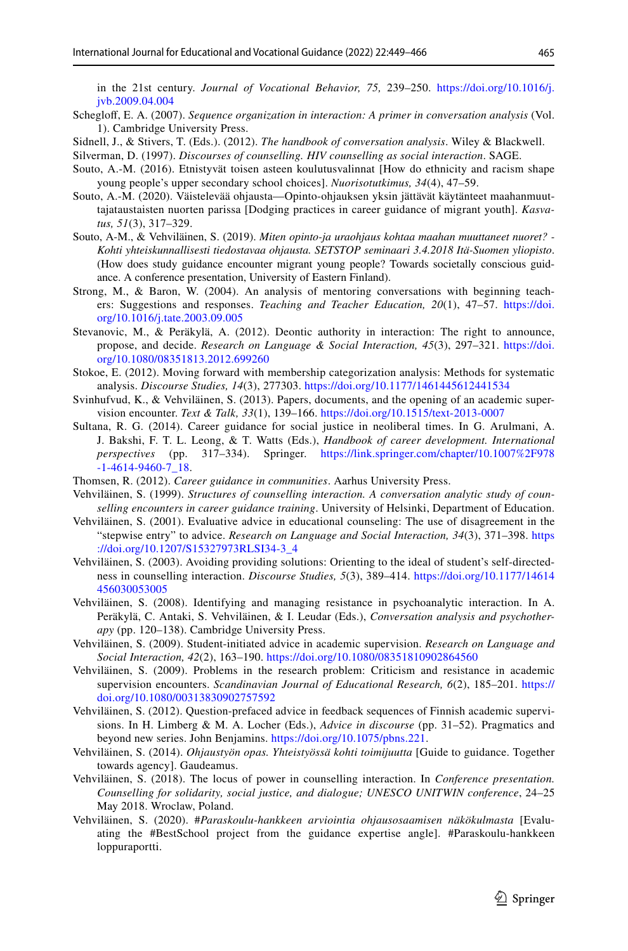in the 21st century. *Journal of Vocational Behavior, 75,* 239–250. [https://doi.org/10.1016/j.](https://doi.org/10.1016/j.jvb.2009.04.004) [jvb.2009.04.004](https://doi.org/10.1016/j.jvb.2009.04.004)

- <span id="page-16-15"></span>Scheglof, E. A. (2007). *Sequence organization in interaction: A primer in conversation analysis* (Vol. 1). Cambridge University Press.
- <span id="page-16-14"></span>Sidnell, J., & Stivers, T. (Eds.). (2012). *The handbook of conversation analysis*. Wiley & Blackwell.
- <span id="page-16-20"></span>Silverman, D. (1997). *Discourses of counselling. HIV counselling as social interaction*. SAGE.
- <span id="page-16-0"></span>Souto, A.-M. (2016). Etnistyvät toisen asteen koulutusvalinnat [How do ethnicity and racism shape young people's upper secondary school choices]. *Nuorisotutkimus, 34*(4), 47–59.
- <span id="page-16-1"></span>Souto, A.-M. (2020). Väistelevää ohjausta—Opinto-ohjauksen yksin jättävät käytänteet maahanmuuttajataustaisten nuorten parissa [Dodging practices in career guidance of migrant youth]. *Kasvatus, 51*(3), 317–329.
- <span id="page-16-11"></span>Souto, A-M., & Vehviläinen, S. (2019). *Miten opinto-ja uraohjaus kohtaa maahan muuttaneet nuoret? - Kohti yhteiskunnallisesti tiedostavaa ohjausta. SETSTOP seminaari 3.4.2018 Itä-Suomen yliopisto*. (How does study guidance encounter migrant young people? Towards societally conscious guidance. A conference presentation, University of Eastern Finland).
- <span id="page-16-21"></span>Strong, M., & Baron, W. (2004). An analysis of mentoring conversations with beginning teachers: Suggestions and responses. *Teaching and Teacher Education, 20*(1), 47–57. [https://doi.](https://doi.org/10.1016/j.tate.2003.09.005) [org/10.1016/j.tate.2003.09.005](https://doi.org/10.1016/j.tate.2003.09.005)
- <span id="page-16-16"></span>Stevanovic, M., & Peräkylä, A. (2012). Deontic authority in interaction: The right to announce, propose, and decide. *Research on Language & Social Interaction, 45*(3), 297–321. [https://doi.](https://doi.org/10.1080/08351813.2012.699260) [org/10.1080/08351813.2012.699260](https://doi.org/10.1080/08351813.2012.699260)
- <span id="page-16-18"></span>Stokoe, E. (2012). Moving forward with membership categorization analysis: Methods for systematic analysis. *Discourse Studies, 14*(3), 277303.<https://doi.org/10.1177/1461445612441534>
- <span id="page-16-12"></span>Svinhufvud, K., & Vehviläinen, S. (2013). Papers, documents, and the opening of an academic supervision encounter. *Text & Talk, 33*(1), 139–166. <https://doi.org/10.1515/text-2013-0007>
- <span id="page-16-8"></span>Sultana, R. G. (2014). Career guidance for social justice in neoliberal times. In G. Arulmani, A. J. Bakshi, F. T. L. Leong, & T. Watts (Eds.), *Handbook of career development. International*  317–334). Springer. [https://link.springer.com/chapter/10.1007%2F978](https://link.springer.com/chapter/10.1007%2F978-1-4614-9460-7_18) [-1-4614-9460-7\\_18.](https://link.springer.com/chapter/10.1007%2F978-1-4614-9460-7_18)
- <span id="page-16-9"></span>Thomsen, R. (2012). *Career guidance in communities*. Aarhus University Press.
- <span id="page-16-13"></span>Vehviläinen, S. (1999). *Structures of counselling interaction. A conversation analytic study of counselling encounters in career guidance training*. University of Helsinki, Department of Education.
- <span id="page-16-2"></span>Vehviläinen, S. (2001). Evaluative advice in educational counseling: The use of disagreement in the "stepwise entry" to advice. *Research on Language and Social Interaction, 34*(3), 371–398. [https](https://doi.org/10.1207/S15327973RLSI34-3_4) [://doi.org/10.1207/S15327973RLSI34-3\\_4](https://doi.org/10.1207/S15327973RLSI34-3_4)
- <span id="page-16-3"></span>Vehviläinen, S. (2003). Avoiding providing solutions: Orienting to the ideal of student's self-directedness in counselling interaction. *Discourse Studies, 5*(3), 389–414. [https://doi.org/10.1177/14614](https://doi.org/10.1177/14614456030053005) [456030053005](https://doi.org/10.1177/14614456030053005)
- <span id="page-16-19"></span>Vehviläinen, S. (2008). Identifying and managing resistance in psychoanalytic interaction. In A. Peräkylä, C. Antaki, S. Vehviläinen, & I. Leudar (Eds.), *Conversation analysis and psychotherapy* (pp. 120–138). Cambridge University Press.
- <span id="page-16-4"></span>Vehviläinen, S. (2009). Student-initiated advice in academic supervision. *Research on Language and Social Interaction, 42*(2), 163–190. <https://doi.org/10.1080/08351810902864560>
- <span id="page-16-5"></span>Vehviläinen, S. (2009). Problems in the research problem: Criticism and resistance in academic supervision encounters. *Scandinavian Journal of Educational Research, 6*(2), 185–201. [https://](https://doi.org/10.1080/00313830902757592) [doi.org/10.1080/00313830902757592](https://doi.org/10.1080/00313830902757592)
- <span id="page-16-6"></span>Vehviläinen, S. (2012). Question-prefaced advice in feedback sequences of Finnish academic supervisions. In H. Limberg & M. A. Locher (Eds.), *Advice in discourse* (pp. 31–52). Pragmatics and beyond new series. John Benjamins. <https://doi.org/10.1075/pbns.221>.
- <span id="page-16-10"></span>Vehviläinen, S. (2014). *Ohjaustyön opas. Yhteistyössä kohti toimijuutta* [Guide to guidance. Together towards agency]. Gaudeamus.
- <span id="page-16-17"></span>Vehviläinen, S. (2018). The locus of power in counselling interaction. In *Conference presentation. Counselling for solidarity, social justice, and dialogue; UNESCO UNITWIN conference*, 24–25 May 2018. Wroclaw, Poland.
- <span id="page-16-7"></span>Vehviläinen, S. (2020). #*Paraskoulu-hankkeen arviointia ohjausosaamisen näkökulmasta* [Evaluating the #BestSchool project from the guidance expertise angle]. #Paraskoulu-hankkeen loppuraportti.